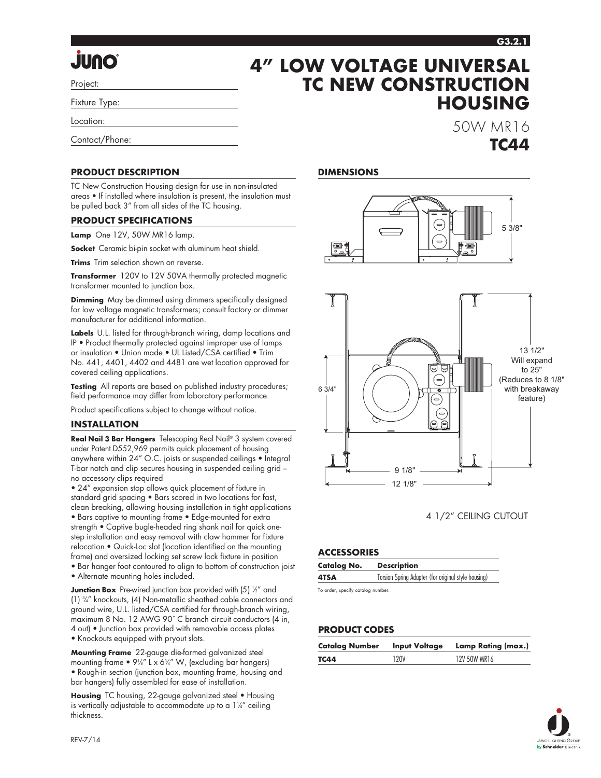**HOUSING**

50W MR16

**TC44**

# **OnUL.**

Project:

Fixture Type:

Location:

Contact/Phone:

#### **PRODUCT DESCRIPTION**

TC New Construction Housing design for use in non-insulated areas • If installed where insulation is present, the insulation must be pulled back 3" from all sides of the TC housing.

#### **PRODUCT SPECIFICATIONS**

**Lamp** One 12V, 50W MR16 lamp.

**Socket** Ceramic bi-pin socket with aluminum heat shield.

**Trims** Trim selection shown on reverse.

**Transformer** 120V to 12V 50VA thermally protected magnetic transformer mounted to junction box.

**Dimming** May be dimmed using dimmers specifically designed for low voltage magnetic transformers; consult factory or dimmer manufacturer for additional information.

**Labels** U.L. listed for through-branch wiring, damp locations and IP • Product thermally protected against improper use of lamps or insulation • Union made • UL Listed/CSA certified • Trim No. 441, 4401, 4402 and 4481 are wet location approved for covered ceiling applications.

**Testing** All reports are based on published industry procedures; field performance may differ from laboratory performance.

Product specifications subject to change without notice.

#### **INSTALLATION**

**Real Nail 3 Bar Hangers** Telescoping Real Nail® 3 system covered under Patent D552,969 permits quick placement of housing anywhere within 24" O.C. joists or suspended ceilings • Integral T-bar notch and clip secures housing in suspended ceiling grid – no accessory clips required

• 24" expansion stop allows quick placement of fixture in standard grid spacing • Bars scored in two locations for fast, clean breaking, allowing housing installation in tight applications • Bars captive to mounting frame • Edge-mounted for extra strength • Captive bugle-headed ring shank nail for quick onestep installation and easy removal with claw hammer for fixture relocation • Quick-Loc slot (location identified on the mounting frame) and oversized locking set screw lock fixture in position

• Bar hanger foot contoured to align to bottom of construction joist

• Alternate mounting holes included.

**Junction Box** Pre-wired junction box provided with (5) ½" and (1) 3 ⁄4" knockouts, (4) Non-metallic sheathed cable connectors and ground wire, U.L. listed/CSA certified for through-branch wiring, maximum 8 No. 12 AWG 90˚ C branch circuit conductors (4 in, 4 out) • Junction box provided with removable access plates • Knockouts equipped with pryout slots.

**Mounting Frame** 22-gauge die-formed galvanized steel mounting frame  $\bullet$  9¼" L x 6¾" W, (excluding bar hangers) • Rough-in section (junction box, mounting frame, housing and bar hangers) fully assembled for ease of installation.

**Housing** TC housing, 22-gauge galvanized steel • Housing is vertically adjustable to accommodate up to a  $1\frac{1}{4}$  ceiling thickness.

#### **DIMENSIONS**

**4" LOW VOLTAGE UNIVERSAL** 

**TC NEW CONSTRUCTION**





4 1/2" CEILING CUTOUT

#### **ACCESSORIES**

| <b>Catalog No.</b> | <b>Description</b>                                  |
|--------------------|-----------------------------------------------------|
| 4TSA               | Torsion Spring Adapter (for original style housing) |

To order, specify catalog number.

#### **PRODUCT CODES**

| Catalog Number | <b>Input Voltage</b> | Lamp Rating (max.) |
|----------------|----------------------|--------------------|
| TC44           | 120V                 | 12V 50W MR16       |